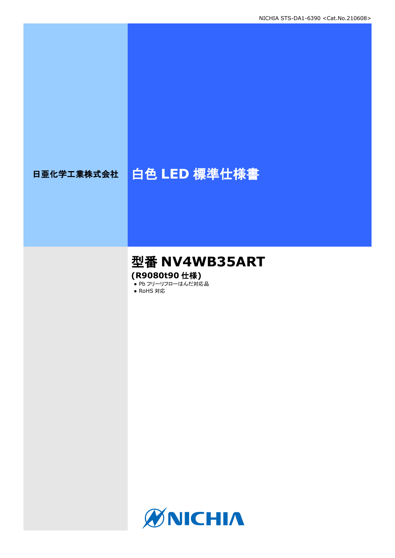# 日亜化学工業株式会社 | 白色 LED 標準仕様書

# 型番 **NV4WB35ART (R9080t90** 仕様**)**

● Pb フリーリフローはんだ対応品

● RoHS 対応

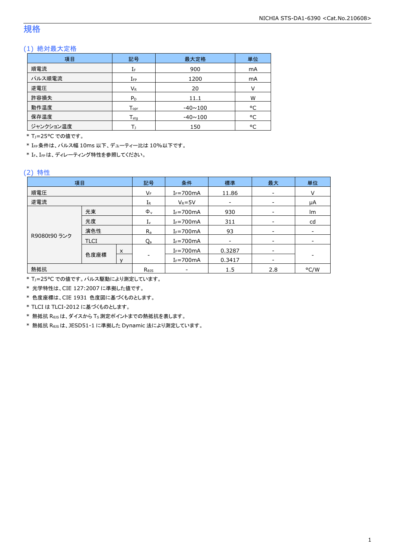# 規格

### (1) 絶対最大定格

| 項目        | 記号                           | 最大定格           | 単位 |
|-----------|------------------------------|----------------|----|
| 順電流       | 900<br>IF                    |                | mA |
| パルス順電流    | $I_{\mathsf{FP}}$            | 1200           | mA |
| 逆電圧       | $V_{R}$                      | 20             | V  |
| 許容損失      | $P_D$                        | 11.1           | W  |
| 動作温度      | ${\mathsf T}_{\textsf{opr}}$ | $-40 \sim 100$ | °C |
| 保存温度      | $T_{\rm stq}$                | $-40 \sim 100$ | °C |
| ジャンクション温度 |                              | 150            | °C |

\* T<sub>1</sub>=25°C での値です。

\* IFP条件は、パルス幅 10ms 以下、デューティー比は 10%以下です。

\* IF、IFPは、ディレーティング特性を参照してください。

### (2) 特性

| 項目           |             |         | 記号                  | 条件             | 標準     | 最大              | 単位   |
|--------------|-------------|---------|---------------------|----------------|--------|-----------------|------|
| 順電圧          |             |         | VF                  | $I_F = 700$ mA | 11.86  | $\qquad \qquad$ | V    |
| 逆電流          |             |         | ${\rm I}_{{\sf R}}$ | $V_R = 5V$     |        |                 | μA   |
|              | 光束          |         | $\Phi_{v}$          | $I_F = 700$ mA | 930    |                 | lm   |
|              | 光度          |         | $I_{v}$             | $I_F = 700mA$  | 311    |                 | cd   |
| 演色性          |             | $R_{a}$ | $I_F = 700$ mA      | 93             |        |                 |      |
| R9080t90 ランク | <b>TLCI</b> |         | Qa                  | $I_F = 700mA$  |        |                 |      |
|              | 色度座標        | X       |                     | $I_F = 700$ mA | 0.3287 | $\qquad \qquad$ |      |
|              |             |         |                     | $I_F = 700$ mA | 0.3417 |                 |      |
| 熱抵抗          |             |         | $R_{\theta}$        |                | 1.5    | 2.8             | °C/W |

\* TJ=25°C での値です。パルス駆動により測定しています。

\* 光学特性は、CIE 127:2007 に準拠した値です。

\* 色度座標は、CIE 1931 色度図に基づくものとします。

\* TLCI は TLCI-2012 に基づくものとします。

\* 熱抵抗 RθJSは、ダイスから TS測定ポイントまでの熱抵抗を表します。

\* 熱抵抗 RθJSは、JESD51-1 に準拠した Dynamic 法により測定しています。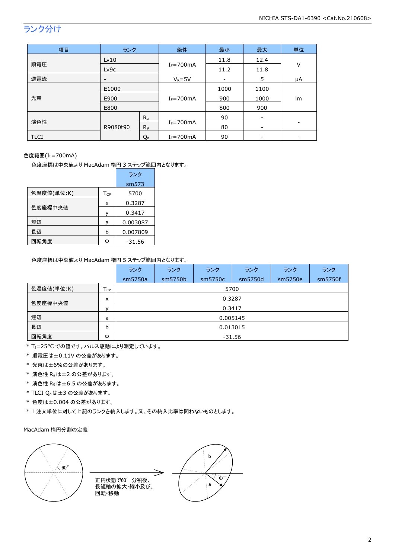# ランク分け

| 項目          | ランク                      |                | 条件             | 最小   | 最大                       | 単位 |
|-------------|--------------------------|----------------|----------------|------|--------------------------|----|
|             | Lv10                     |                |                | 11.8 | 12.4                     | V  |
| 順電圧         | Lv9c                     |                | $I_F = 700mA$  | 11.2 | 11.8                     |    |
| 逆電流         | $\overline{\phantom{a}}$ |                | $V_R = 5V$     | -    | 5                        | μA |
|             | E1000<br>E900            |                | $I_F = 700mA$  | 1000 | 1100                     | lm |
| 光束          |                          |                |                | 900  | 1000                     |    |
|             | E800                     |                |                | 800  | 900                      |    |
|             |                          | $R_a$          |                | 90   | $\overline{\phantom{a}}$ |    |
| 演色性         | R9080t90                 | R <sub>9</sub> | $I_F = 700$ mA | 80   | -                        |    |
| <b>TLCI</b> |                          | Q <sub>a</sub> | $I_F = 700$ mA | 90   | -                        |    |

### 色度範囲(IF=700mA)

色度座標は中央値より MacAdam 楕円 3 ステップ範囲内となります。

|            |          | ランク      |
|------------|----------|----------|
|            |          | sm573    |
| 色温度値(単位:K) | $T_{CP}$ | 5700     |
|            | x        | 0.3287   |
| 色度座標中央値    | ν        | 0.3417   |
| 短辺         | a        | 0.003087 |
| 長辺         | b        | 0.007809 |
| 回転角度       | Φ        | $-31.56$ |

#### 色度座標は中央値より MacAdam 楕円 5 ステップ範囲内となります。

|            |                 | ランク      | ランク     | ランク     | ランク     | ランク     | ランク     |  |  |
|------------|-----------------|----------|---------|---------|---------|---------|---------|--|--|
|            |                 | sm5750a  | sm5750b | sm5750c | sm5750d | sm5750e | sm5750f |  |  |
| 色温度値(単位:K) | $T_{\text{CP}}$ |          | 5700    |         |         |         |         |  |  |
| x          |                 | 0.3287   |         |         |         |         |         |  |  |
| 色度座標中央値    | $\mathbf{v}$    | 0.3417   |         |         |         |         |         |  |  |
| 短辺         | a               | 0.005145 |         |         |         |         |         |  |  |
| 長辺         | b               | 0.013015 |         |         |         |         |         |  |  |
| 回転角度       | Φ               | $-31.56$ |         |         |         |         |         |  |  |

\* TJ=25°C での値です。パルス駆動により測定しています。

- \* 順電圧は±0.11V の公差があります。
- \* 光束は±6%の公差があります。
- \* 演色性 Raは±2 の公差があります。
- \* 演色性 R9は±6.5 の公差があります。
- \* TLCI Qaは±3 の公差があります。
- \* 色度は±0.004 の公差があります。
- \* 1 注文単位に対して上記のランクを納入します。又、その納入比率は問わないものとします。

#### MacAdam 楕円分割の定義

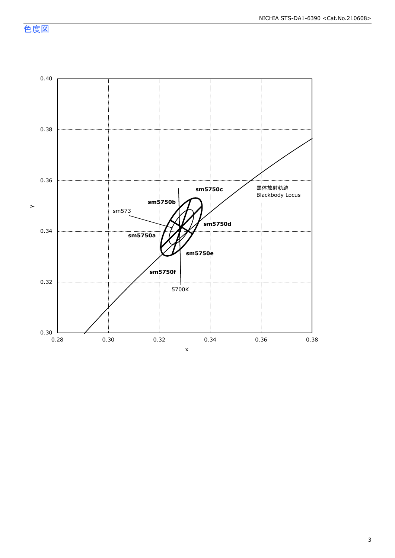NICHIA STS-DA1-6390 <Cat.No.210608>

色度図



3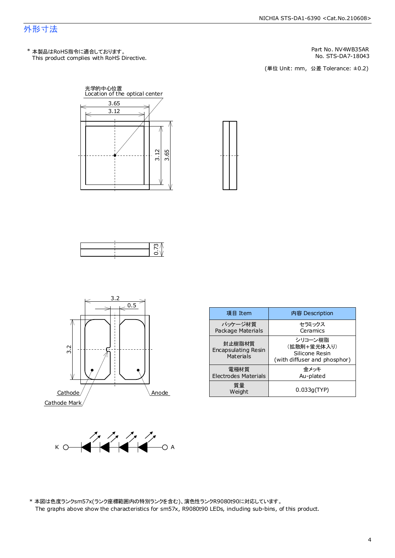### 外形寸法

This product complies with RoHS Directive. \* 本製品はRoHS指令に適合しております。

Part No. NV4WB35AR<br>No. STS-DA7-18043

No. STS-DA7-18043<br>(単位 Unit: mm,公差 Tolerance: ±0.2)









| 項目 Item                                    | 内容 Description                                                           |
|--------------------------------------------|--------------------------------------------------------------------------|
| パッケージ材質<br>Package Materials               | セラミックス<br>Ceramics                                                       |
| 封止樹脂材質<br>Encapsulating Resin<br>Materials | シリコーン樹脂<br>(拡散剤+蛍光体入り)<br>Silicone Resin<br>(with diffuser and phosphor) |
| 雷極材質<br>Electrodes Materials               | 余メッキ<br>Au-plated                                                        |
| 質量<br>Weight                               | 0.033q(TYP)                                                              |



\* 本図は色度ランクs m57x(ランク座標範囲内の特別ランクを含む)、演色性ランクR9080t90に対応しています。 The graphs above show the characteristics for sm57x, R9080t90 LEDs, including sub-bins, of this product.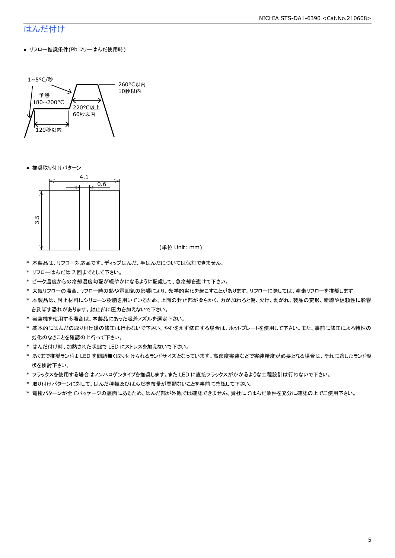# はんだ付け

● リフロー推奨条件(Pb フリーはんだ使用時)



● 推奨取り付けパターン



(単位 Unit: mm)

- \* 本製品は、リフロー対応品です。ディップはんだ、手はんだについては保証できません。
- \* リフローはんだは 2 回までとして下さい。
- \* ピーク温度からの冷却温度勾配が緩やかになるように配慮して、急冷却を避けて下さい。
- \* 大気リフローの場合、リフロー時の熱や雰囲気の影響により、光学的劣化を起こすことがあります。リフローに際しては、窒素リフローを推奨します。
- \* 本製品は、封止材料にシリコーン樹脂を用いているため、上面の封止部が柔らかく、力が加わると傷、欠け、剥がれ、製品の変形、断線や信頼性に影響 を及ぼす恐れがあります。封止部に圧力を加えないで下さい。
- \* 実装機を使用する場合は、本製品にあった吸着ノズルを選定下さい。
- \* 基本的にはんだの取り付け後の修正は行わないで下さい。やむをえず修正する場合は、ホットプレートを使用して下さい。また、事前に修正による特性の 劣化のなきことを確認の上行って下さい。
- \* はんだ付け時、加熱された状態で LED にストレスを加えないで下さい。
- \* あくまで推奨ランドは LED を問題無く取り付けられるランドサイズとなっています。高密度実装などで実装精度が必要となる場合は、それに適したランド形 状を検討下さい。
- \* フラックスを使用する場合はノンハロゲンタイプを推奨します。また LED に直接フラックスがかかるような工程設計は行わないで下さい。
- \* 取り付けパターンに対して、はんだ種類及びはんだ塗布量が問題ないことを事前に確認して下さい。
- \* 電極パターンが全てパッケージの裏面にあるため、はんだ部が外観では確認できません。貴社にてはんだ条件を充分に確認の上でご使用下さい。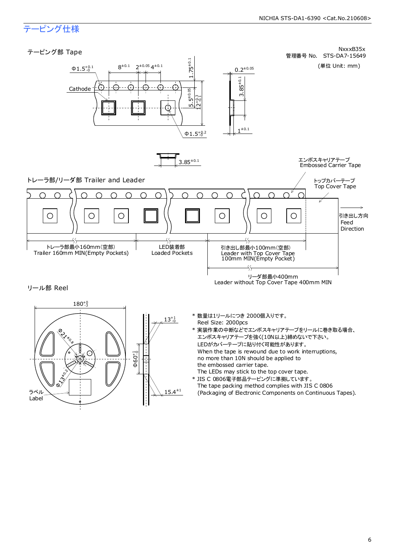# テーピング仕様

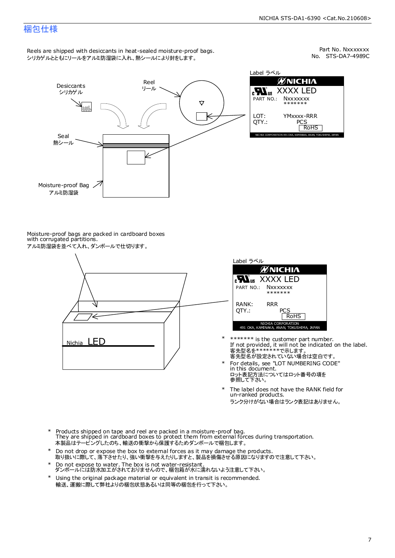### 梱包仕様

Reels are shipped with desiccants in heat-sealed moisture-proof bags. シリカゲルとともにリールをアルミ防湿袋に入れ、熱シールにより封をします。

No. STS-DA7-4989C Part No. Nxxxxxxx



Label ラベル ЙNICHIЛ XXXX LED **Nxxxxxxx** \*\*\*\*\*\*\* YMxxxx-RRR PCS<br>| RoHS NICHIA CORPORATION 491 OKA, KAMINAKA, ANAN, TOKUSHIM

Moisture-proof bags are packed in cardboard boxes with corrugated partitions. アルミ防湿袋を並べて入れ、ダンボールで仕切ります。





- 客先型名が設定されていない場合は空白です。 客先型名を\*\*\*\*\*\*\*で示します。 If not provided, it will not be indicated on the label. \*\*\*\*\*\*\* is the customer part number.
- For details, see "LOT NUMBERING CODE" in this document. ロット表記方法についてはロット番号の項を<br>参照して下さい。 \*
- The label does not have the RANK field for un-ranked products. ランク分けがない場合はランク表記はありません。 \*
- Products shipped on tape and reel are packed in a moisture-proof bag. They are shipped in cardboard boxes to protect them from external forces during transportation. 本製品はテーピングしたのち、輸送の衝撃から保護するためダンボールで梱包します。 \*
- Do not drop or expose the box to external forces as it may damage the products. 取り扱いに際して、落下させたり、強い衝撃を与えたりしますと、製品を損傷させる原因になりますので注意して下さい。 \*
- Do not expose to water. The box is not water-resistant. ダンボールには防水加工がされておりませんので、梱包箱が水に濡れないよう注意して下さい。 \*
- \* Using the original package material or equivalent in transit is recommended. 輸送、運搬に際して弊社よりの梱包状態あるいは同等の梱包を行って下さい。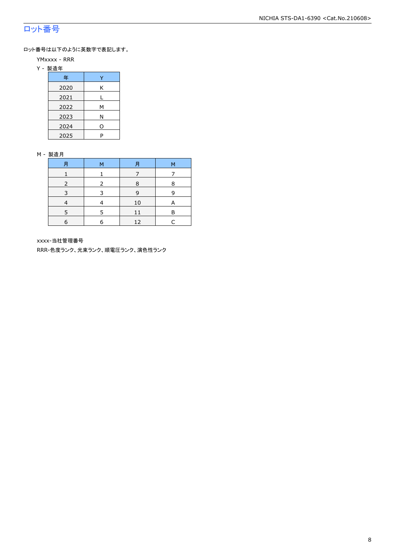# ロット番号

ロット番号は以下のように英数字で表記します。

- YMxxxx RRR
- Y 製造年

| 年    |   |
|------|---|
| 2020 | Κ |
| 2021 |   |
| 2022 | м |
| 2023 | Ν |
| 2024 | ი |
| 2025 | P |

#### M - 製造月

| 月 | M | 月  | M |
|---|---|----|---|
|   |   |    |   |
|   |   | 8  | 8 |
| ∍ |   | 9  | q |
|   |   | 10 | A |
|   |   |    | R |
| 6 | F | 12 |   |

xxxx-当社管理番号

RRR-色度ランク、光束ランク、順電圧ランク、演色性ランク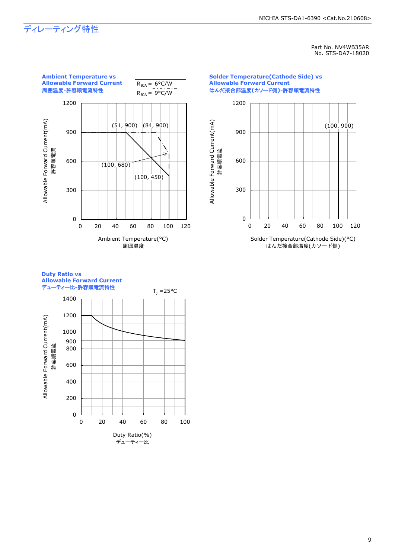#### NICHIA STS-DA1-6390 <Cat.No.210608>

# ディレーティング特性

Part No. NV4WB35AR No. STS-DA7-18020



### **Duty Ratio vs Allowable Forward Current**

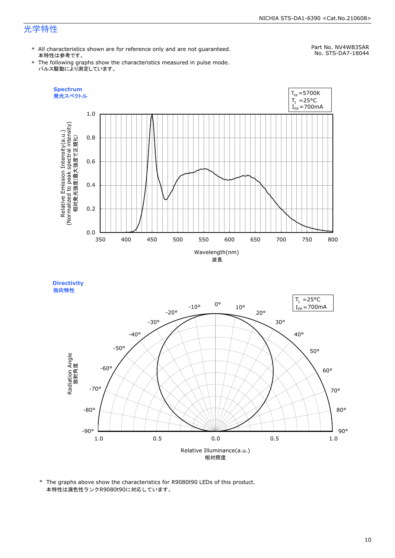#### NICHIA STS-DA1-6390 <Cat.No.210608>

# 光学特性

\* All characteristics shown are for reference only and are not guaranteed. 本特性は参考です。

# Part No. NV4WB35AR

\* The following graphs show the characteristics measured in pulse mode. パルス駆動により測定しています。

No. STS-DA7-18044





<sup>\*</sup> The graphs above show the characteristics for R9080t90 LEDs of this product. 本特性は演色性ランクR9080t90に対応しています。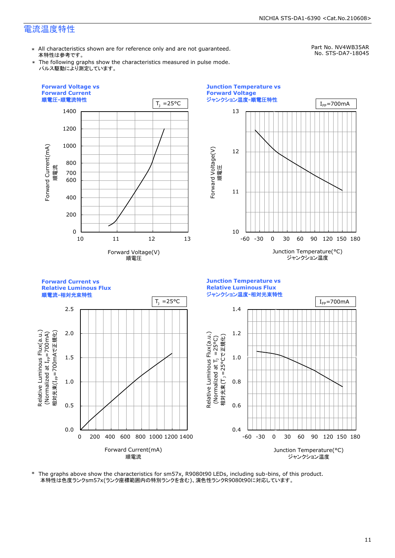# 電流温度特性

\* All characteristics shown are for reference only and are not guaranteed. 本特性は参考です。

Part No. NV4WB35AR No. STS-DA7-18045

\* The following graphs show the characteristics measured in pulse mode. パルス駆動により測定しています。



\* The graphs above show the characteristics for sm57x, R9080t90 LEDs, including sub-bins, of this product. 本特性は色度ランクsm57x(ランク座標範囲内の特別ランクを含む)、演色性ランクR9080t90に対応しています。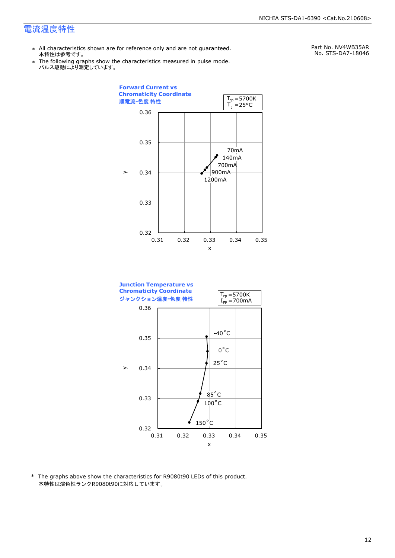### 電流温度特性

- \* All characteristics shown are for reference only and are not guaranteed. 本特性は参考です。
- \* Ine following graphs show th<br>、パルス駆動により測定しています。 The following graphs show the characteristics measured in pulse mode.

Part No. NV4WB35AR No. STS-DA7-18046





\* The graphs above show the characteristics for R9080t90 LEDs of this product. 本特性は演色性ランクR9080t90に対応しています。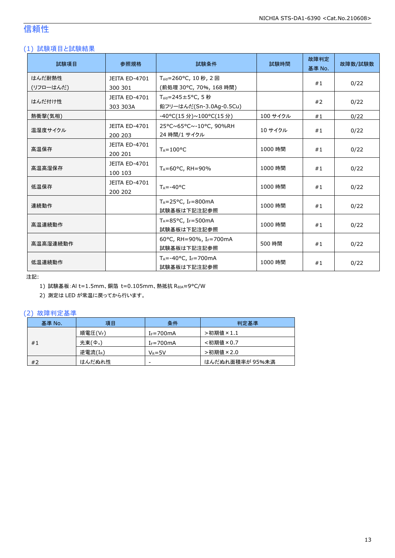# 信頼性

### (1) 試験項目と試験結果

| 試験項目      | 参照規格                            | 試験条件                                                 | 試験時間     | 故障判定<br>基準 No. | 故障数/試験数 |
|-----------|---------------------------------|------------------------------------------------------|----------|----------------|---------|
| はんだ耐熱性    | JEITA ED-4701                   | T <sub>sld</sub> =260°C, 10秒, 2回                     |          |                |         |
| (リフローはんだ) | 300 301                         | (前処理 30°C, 70%, 168 時間)                              |          | #1             | 0/22    |
| はんだ付け性    | <b>JEITA ED-4701</b>            | $T_{\text{std}} = 245 \pm 5^{\circ}$ C, 5秒           |          |                |         |
|           | 303 303A                        | 鉛フリーはんだ(Sn-3.0Ag-0.5Cu)                              |          | #2             | 0/22    |
| 熱衝撃(気相)   |                                 | -40°C(15 分)~100°C(15 分)                              | 100 サイクル | #1             | 0/22    |
| 温湿度サイクル   | <b>JEITA ED-4701</b><br>200 203 | 25°C~65°C~-10°C, 90%RH<br>24 時間/1 サイクル               | 10 サイクル  | #1             | 0/22    |
| 高温保存      | JEITA ED-4701<br>200 201        | $T_A = 100^{\circ}C$                                 | 1000 時間  | #1             | 0/22    |
| 高温高湿保存    | <b>JEITA ED-4701</b><br>100 103 | TA=60°C, RH=90%                                      | 1000 時間  | #1             | 0/22    |
| 低温保存      | JEITA ED-4701<br>200 202        | $T_A = -40$ °C                                       | 1000 時間  | #1             | 0/22    |
| 連続動作      |                                 | $T_A = 25$ °C, I <sub>F</sub> =800mA<br>試験基板は下記注記参照  | 1000 時間  | #1             | 0/22    |
| 高温連続動作    |                                 | $T_A = 85$ °C, I <sub>F</sub> =500mA<br>試験基板は下記注記参照  | 1000 時間  | #1             | 0/22    |
| 高温高湿連続動作  |                                 | 60°C, RH=90%, IF=700mA<br>試験基板は下記注記参照                | 500 時間   | #1             | 0/22    |
| 低温連続動作    |                                 | $T_A = -40$ °C, I <sub>F</sub> =700mA<br>試験基板は下記注記参照 | 1000 時間  | #1             | 0/22    |

注記:

1) 試験基板:Al t=1.5mm、銅箔 t=0.105mm、熱抵抗 RθJA≈9°C/W

2) 測定は LED が常温に戻ってから行います。

### (2) 故障判定基準

| 基準 No. | 項目                  | 条件             | 判定基準            |
|--------|---------------------|----------------|-----------------|
|        | 順電圧(VF)             | $I_F = 700$ mA | >初期値×1.1        |
| #1     | 光束(Φ <sub>v</sub> ) | $I_F = 700$ mA | <初期値×0.7        |
|        | 逆電流(IR)             | $V_R = 5V$     | >初期値×2.0        |
| #2     | はんだぬれ性              | -              | はんだぬれ面積率が 95%未満 |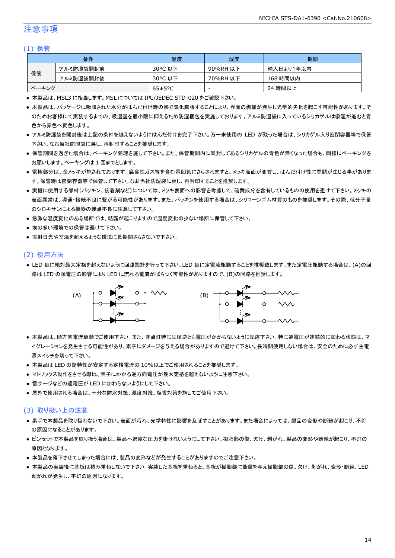### 注意事項

#### (1) 保管

|       | 条件        | 温度                   | 湿度       | 期間        |
|-------|-----------|----------------------|----------|-----------|
|       | アルミ防湿袋開封前 | 30°C 以下              | 90%RH 以下 | 納入日より1年以内 |
| 保管    | アルミ防湿袋開封後 | 30°C 以下              | 70%RH 以下 | 168 時間以内  |
| ベーキング |           | $65 \pm 5^{\circ}$ C | -        | 24 時間以上   |

● 本製品は、MSL3 に相当します。MSL については IPC/JEDEC STD-020 をご確認下さい。

- 本製品は、パッケージに吸収された水分がはんだ付け時の熱で気化膨張することにより、界面の剥離が発生し光学的劣化を起こす可能性があります。そ のためお客様にて実装するまでの、吸湿量を最小限に抑えるため防湿梱包を実施しております。アルミ防湿袋に入っているシリカゲルは吸湿が進むと青 色から赤色へ変色します。
- アルミ防湿袋を開封後は上記の条件を越えないようにはんだ付けを完了下さい。万一未使用の LED が残った場合は、シリカゲル入り密閉容器等で保管 下さい。なお当社防湿袋に戻し、再封印することを推奨します。
- 保管期間を過ぎた場合は、ベーキング処理を施して下さい。また、保管期間内に同封してあるシリカゲルの青色が無くなった場合も、同様にベーキングを お願いします。ベーキングは 1 回までとします。
- 電極部分は、金メッキが施されております。腐食性ガス等を含む雰囲気にさらされますと、メッキ表面が変質し、はんだ付け性に問題が生じる事がありま す。保管時は密閉容器等で保管して下さい。なお当社防湿袋に戻し、再封印することを推奨します。
- 実機に使用する部材(パッキン、接着剤など)については、メッキ表面への影響を考慮して、硫黄成分を含有しているものの使用を避けて下さい。メッキの 表面異常は、導通・接続不良に繋がる可能性があります。また、パッキンを使用する場合は、シリコーンゴム材質のものを推奨します。その際、低分子量 のシロキサンによる機器の接点不良に注意して下さい。
- 急激な温度変化のある場所では、結露が起こりますので温度変化の少ない場所に保管して下さい。
- 埃の多い環境での保管は避けて下さい。
- 直射日光や室温を超えるような環境に長期間さらさないで下さい。

#### (2) 使用方法

● LED 毎に絶対最大定格を超えないように回路設計を行って下さい。LED 毎に定電流駆動することを推奨致します。また定電圧駆動する場合は、(A)の回 路は LED の順電圧の影響により LED に流れる電流がばらつく可能性がありますので、(B)の回路を推奨します。



- 本製品は、順方向電流駆動でご使用下さい。また、非点灯時には順逆とも電圧がかからないように配慮下さい。特に逆電圧が連続的に加わる状態は、マ イグレーションを発生させる可能性があり、素子にダメージを与える場合がありますので避けて下さい。長時間使用しない場合は、安全のために必ず主電 源スイッチを切って下さい。
- 本製品は LED の諸特性が安定する定格電流の 10%以上でご使用されることを推奨します。
- マトリックス動作をさせる際は、素子にかかる逆方向電圧が最大定格を超えないように注意下さい。
- 雷サージなどの過電圧が LED に加わらないようにして下さい。
- 屋外で使用される場合は、十分な防水対策、湿度対策、塩害対策を施してご使用下さい。

#### (3) 取り扱い上の注意

- 素手で本製品を取り扱わないで下さい。表面が汚れ、光学特性に影響を及ぼすことがあります。また場合によっては、製品の変形や断線が起こり、不灯 の原因になることがあります。
- ピンセットで本製品を取り扱う場合は、製品へ過度な圧力を掛けないようにして下さい。樹脂部の傷、欠け、剥がれ、製品の変形や断線が起こり、不灯の 原因となります。
- 本製品を落下させてしまった場合には、製品の変形などが発生することがありますのでご注意下さい。
- 本製品の実装後に基板は積み重ねしないで下さい。実装した基板を重ねると、基板が樹脂部に衝撃を与え樹脂部の傷、欠け、剥がれ、変形・断線、LED 剥がれが発生し、不灯の原因になります。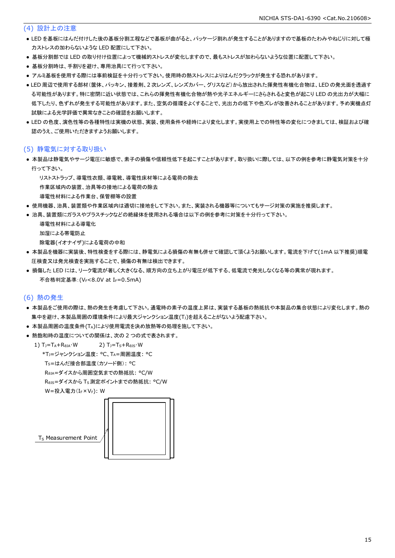### (4) 設計上の注意

- LED を基板にはんだ付けした後の基板分割工程などで基板が曲がると、パッケージ割れが発生することがありますので基板のたわみやねじりに対して極 力ストレスの加わらないような LED 配置にして下さい。
- 基板分割部では LED の取り付け位置によって機械的ストレスが変化しますので、最もストレスが加わらないような位置に配置して下さい。
- 基板分割時は、手割りを避け、専用治具にて行って下さい。
- アルミ基板を使用する際には事前検証を十分行って下さい。使用時の熱ストレスによりはんだクラックが発生する恐れがあります。
- LED 周辺で使用する部材(筐体、パッキン、接着剤、2 次レンズ、レンズカバー、グリスなど)から放出された揮発性有機化合物は、LED の発光面を透過す る可能性があります。特に密閉に近い状態では、これらの揮発性有機化合物が熱や光子エネルギーにさらされると変色が起こり LED の光出力が大幅に 低下したり、色ずれが発生する可能性があります。また、空気の循環をよくすることで、光出力の低下や色ズレが改善されることがあります。予め実機点灯 試験による光学評価で異常なきことの確認をお願いします。
- LED の色度、演色性等の各種特性は実機の状態、実装、使用条件や経時により変化します。実使用上での特性等の変化につきましては、検証および確 認のうえ、ご使用いただきますようお願いします。

#### (5) 静電気に対する取り扱い

● 本製品は静電気やサージ電圧に敏感で、素子の損傷や信頼性低下を起こすことがあります。取り扱いに際しては、以下の例を参考に静電気対策を十分 行って下さい。

リストストラップ、導電性衣類、導電靴、導電性床材等による電荷の除去

作業区域内の装置、治具等の接地による電荷の除去

- 導電性材料による作業台、保管棚等の設置
- 使用機器、治具、装置類や作業区域内は適切に接地をして下さい。また、実装される機器等についてもサージ対策の実施を推奨します。
- 治具、装置類にガラスやプラスチックなどの絶縁体を使用される場合は以下の例を参考に対策を十分行って下さい。

```
 導電性材料による導電化
加湿による帯電防止
除電器(イオナイザ)による電荷の中和
```
- 本製品を機器に実装後、特性検査をする際には、静電気による損傷の有無も併せて確認して頂くようお願いします。電流を下げて(1mA 以下推奨)順電 圧検査又は発光検査を実施することで、損傷の有無は検出できます。
- 損傷した LED には、リーク電流が著しく大きくなる、順方向の立ち上がり電圧が低下する、低電流で発光しなくなる等の異常が現れます。 不合格判定基準: (VF<8.0V at IF=0.5mA)

#### (6) 熱の発生

- 本製品をご使用の際は、熱の発生を考慮して下さい。通電時の素子の温度上昇は、実装する基板の熱抵抗や本製品の集合状態により変化します。熱の 集中を避け、本製品周囲の環境条件により最大ジャンクション温度(T」)を超えることがないよう配慮下さい。
- 本製品周囲の温度条件(TA)により使用電流を決め放熱等の処理を施して下さい。
- 熱飽和時の温度についての関係は、次の2つの式で表されます。

1)  $T_J = T_A + R_{\theta JA} \cdot W$  2)  $T_J = T_S + R_{\theta JS} \cdot W$  \*TJ=ジャンクション温度: °C、TA=周囲温度: °C TS=はんだ接合部温度(カソード側): °C

RθJA=ダイスから周囲空気までの熱抵抗: °C/W

RθJS=ダイスから TS測定ポイントまでの熱抵抗: °C/W

W=投入電力(I<sub>F</sub>×V<sub>F</sub>): W



T<sub>S</sub> Measurement Point